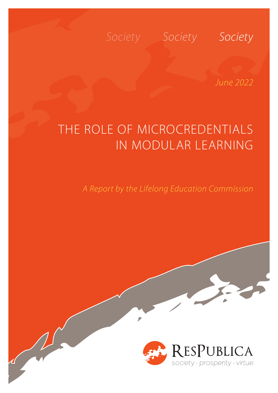### *Society Society Society*

*June 2022*

## THE ROLE OF MICROCREDENTIALS IN MODULAR LEARNING

D

*A Report by the Lifelong Education Commission*

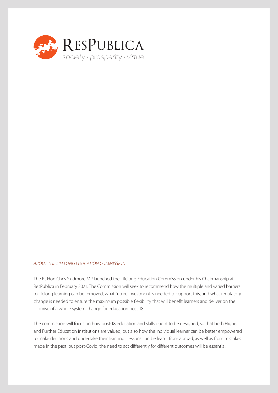

#### *ABOUT THE LIFELONG EDUCATION COMMISSION*

The Rt Hon Chris Skidmore MP launched the Lifelong Education Commission under his Chairmanship at ResPublica in February 2021. The Commission will seek to recommend how the multiple and varied barriers to lifelong learning can be removed, what future investment is needed to support this, and what regulatory change is needed to ensure the maximum possible flexibility that will benefit learners and deliver on the promise of a whole system change for education post-18.

The commission will focus on how post-18 education and skills ought to be designed, so that both Higher and Further Education institutions are valued, but also how the individual learner can be better empowered to make decisions and undertake their learning. Lessons can be learnt from abroad, as well as from mistakes made in the past, but post-Covid, the need to act differently for different outcomes will be essential.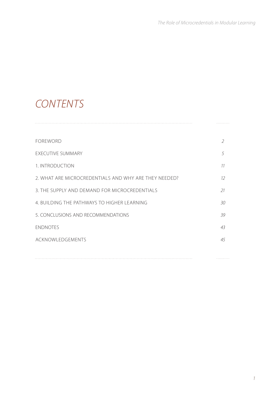### *CONTENTS*

| <b>FOREWORD</b>                                       | 2  |
|-------------------------------------------------------|----|
| <b>EXECUTIVE SUMMARY</b>                              | 5  |
| 1. INTRODUCTION                                       | 11 |
| 2. WHAT ARE MICROCREDENTIALS AND WHY ARE THEY NEEDED? | 12 |
| 3. THE SUPPLY AND DEMAND FOR MICROCREDENTIALS         | 21 |
| 4. BUILDING THE PATHWAYS TO HIGHER LEARNING           | 30 |
| 5. CONCLUSIONS AND RECOMMENDATIONS                    | 39 |
| <b>ENDNOTES</b>                                       | 43 |
| ACKNOWLEDGEMENTS                                      | 45 |
|                                                       |    |
|                                                       |    |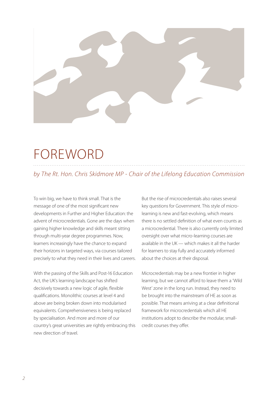

## FOREWORD

#### *by The Rt. Hon. Chris Skidmore MP - Chair of the Lifelong Education Commission*

To win big, we have to think small. That is the message of one of the most significant new developments in Further and Higher Education: the advent of microcredentials. Gone are the days when gaining higher knowledge and skills meant sitting through multi-year degree programmes. Now, learners increasingly have the chance to expand their horizons in targeted ways, via courses tailored precisely to what they need in their lives and careers.

With the passing of the Skills and Post-16 Education Act, the UK's learning landscape has shifted decisively towards a new logic of agile, flexible qualifications. Monolithic courses at level 4 and above are being broken down into modularised equivalents. Comprehensiveness is being replaced by specialisation. And more and more of our country's great universities are rightly embracing this new direction of travel.

But the rise of microcredentials also raises several key questions for Government. This style of microlearning is new and fast-evolving, which means there is no settled definition of what even counts as a microcredential. There is also currently only limited oversight over what micro-learning courses are available in the UK — which makes it all the harder for learners to stay fully and accurately informed about the choices at their disposal.

Microcredentials may be a new frontier in higher learning, but we cannot afford to leave them a 'Wild West' zone in the long run. Instead, they need to be brought into the mainstream of HE as soon as possible. That means arriving at a clear definitional framework for microcredentials which all HE institutions adopt to describe the modular, smallcredit courses they offer.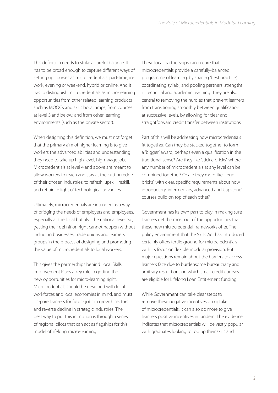This definition needs to strike a careful balance. It has to be broad enough to capture different ways of setting up courses as microcredentials: part-time, inwork, evening or weekend, hybrid or online. And it has to distinguish microcredentials as micro-learning opportunities from other related learning products such as MOOCs and skills bootcamps, from courses at level 3 and below, and from other learning environments (such as the private sector).

When designing this definition, we must not forget that the primary aim of higher learning is to give workers the advanced abilities and understanding they need to take up high-level, high-wage jobs. Microcredentials at level 4 and above are meant to allow workers to reach and stay at the cutting edge of their chosen industries: to refresh, upskill, reskill, and retrain in light of technological advances.

Ultimately, microcredentials are intended as a way of bridging the needs of employers and employees, especially at the local but also the national level. So, getting their definition right cannot happen without including businesses, trade unions and learners' groups in the process of designing and promoting the value of microcredentials to local workers.

This gives the partnerships behind Local Skills Improvement Plans a key role in getting the new opportunities for micro-learning right. Microcredentials should be designed with local workforces and local economies in mind, and must prepare learners for future jobs in growth sectors and reverse decline in strategic industries. The best way to put this in motion is through a series of regional pilots that can act as flagships for this model of lifelong micro-learning.

These local partnerships can ensure that microcredentials provide a carefully-balanced programme of learning, by sharing 'best practice', coordinating syllabi, and pooling partners' strengths in technical and academic teaching. They are also central to removing the hurdles that prevent learners from transitioning smoothly between qualification at successive levels, by allowing for clear and straightforward credit transfer between institutions.

Part of this will be addressing how microcredentials fit together. Can they be stacked together to form a 'bigger' award, perhaps even a qualification in the traditional sense? Are they like 'stickle bricks', where any number of microcredentials at any level can be combined together? Or are they more like 'Lego bricks', with clear, specific requirements about how introductory, intermediary, advanced and 'capstone' courses build on top of each other?

Government has its own part to play in making sure learners get the most out of the opportunities that these new microcredential frameworks offer. The policy environment that the Skills Act has introduced certainly offers fertile ground for microcredentials with its focus on flexible modular provision. But major questions remain about the barriers to access learners face due to burdensome bureaucracy and arbitrary restrictions on which small-credit courses are eligible for Lifelong Loan Entitlement funding.

While Government can take clear steps to remove these negative incentives on uptake of microcredentials, it can also do more to give learners positive incentives in tandem. The evidence indicates that microcredentials will be vastly popular with graduates looking to top up their skills and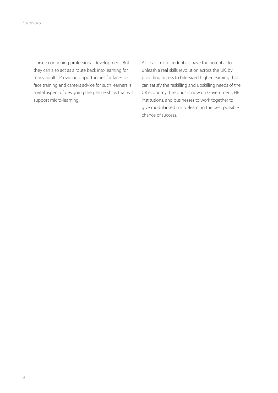pursue continuing professional development. But they can also act as a route back into learning for many adults. Providing opportunities for face-toface training and careers advice for such learners is a vital aspect of designing the partnerships that will support micro-learning.

All in all, microcredentials have the potential to unleash a real skills revolution across the UK, by providing access to bite-sized higher learning that can satisfy the reskilling and upskilling needs of the UK economy. The onus is now on Government, HE institutions, and businesses to work together to give modularised micro-learning the best possible chance of success.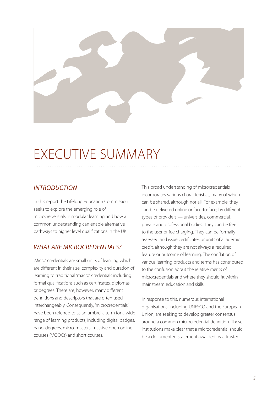

## EXECUTIVE SUMMARY

#### *INTRODUCTION*

In this report the Lifelong Education Commission seeks to explore the emerging role of microcredentials in modular learning and how a common understanding can enable alternative pathways to higher level qualifications in the UK.

#### *WHAT ARE MICROCREDENTIALS?*

'Micro' credentials are small units of learning which are different in their size, complexity and duration of learning to traditional 'macro' credentials including formal qualifications such as certificates, diplomas or degrees. There are, however, many different definitions and descriptors that are often used interchangeably. Consequently, 'microcredentials' have been referred to as an umbrella term for a wide range of learning products, including digital badges, nano-degrees, micro-masters, massive open online courses (MOOCs) and short courses.

This broad understanding of microcredentials incorporates various characteristics, many of which can be shared, although not all. For example, they can be delivered online or face-to-face, by different types of providers — universities, commercial, private and professional bodies. They can be free to the user or fee charging. They can be formally assessed and issue certificates or units of academic credit, although they are not always a required feature or outcome of learning. The conflation of various learning products and terms has contributed to the confusion about the relative merits of microcredentials and where they should fit within mainstream education and skills.

In response to this, numerous international organisations, including UNESCO and the European Union, are seeking to develop greater consensus around a common microcredential definition. These institutions make clear that a microcredential should be a documented statement awarded by a trusted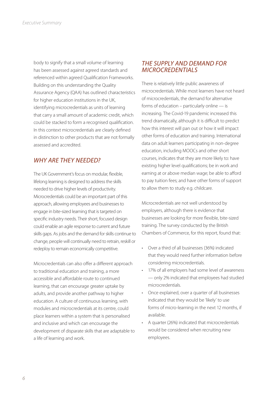body to signify that a small volume of learning has been assessed against agreed standards and referenced within agreed Qualification Frameworks. Building on this understanding the Quality Assurance Agency (QAA) has outlined characteristics for higher education institutions in the UK, identifying microcredentials as units of learning that carry a small amount of academic credit, which could be stacked to form a recognised qualification. In this context microcredentials are clearly defined in distinction to other products that are not formally assessed and accredited.

#### *WHY ARE THEY NEEDED?*

The UK Government's focus on modular, flexible, lifelong learning is designed to address the skills needed to drive higher levels of productivity. Microcredentials could be an important part of this approach, allowing employees and businesses to engage in bite-sized learning that is targeted on specific industry needs. Their short, focused design could enable an agile response to current and future skills gaps. As jobs and the demand for skills continue to change, people will continually need to retrain, reskill or redeploy to remain economically competitive.

Microcredentials can also offer a different approach to traditional education and training, a more accessible and affordable route to continued learning, that can encourage greater uptake by adults, and provide another pathway to higher education. A culture of continuous learning, with modules and microcredentials at its centre, could place learners within a system that is personalised and inclusive and which can encourage the development of disparate skills that are adaptable to a life of learning and work.

#### *THE SUPPLY AND DEMAND FOR MICROCREDENTIALS*

There is relatively little public awareness of microcredentials. While most learners have not heard of microcredentials, the demand for alternative forms of education – particularly online — is increasing. The Covid-19 pandemic increased this trend dramatically, although it is difficult to predict how this interest will pan out or how it will impact other forms of education and training. International data on adult learners participating in non-degree education, including MOOCs and other short courses, indicates that they are more likely to: have existing higher level qualifications; be in work and earning at or above median wage; be able to afford to pay tuition fees; and have other forms of support to allow them to study e.g. childcare.

Microcredentials are not well understood by employers, although there is evidence that businesses are looking for more flexible, bite-sized training. The survey conducted by the British Chambers of Commerce, for this report, found that:

- Over a third of all businesses (36%) indicated that they would need further information before considering microcredentials.
- 17% of all employers had some level of awareness — only 2% indicated that employees had studied microcredentials.
- Once explained, over a quarter of all businesses indicated that they would be 'likely' to use forms of micro-learning in the next 12 months, if available.
- A quarter (26%) indicated that microcredentials would be considered when recruiting new employees.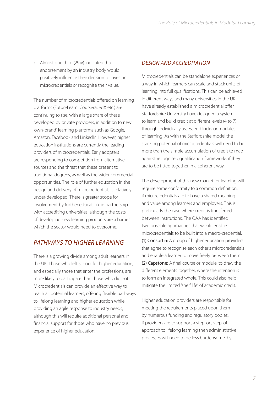• Almost one third (29%) indicated that endorsement by an industry body would positively influence their decision to invest in microcredentials or recognise their value.

The number of microcredentials offered on learning platforms (FutureLearn, Coursera, edX etc.) are continuing to rise, with a large share of these developed by private providers, in addition to new 'own-brand' learning platforms such as Google, Amazon, Facebook and LinkedIn. However, higher education institutions are currently the leading providers of microcredentials. Early adopters are responding to competition from alternative sources and the threat that these present to traditional degrees, as well as the wider commercial opportunities. The role of further education in the design and delivery of microcredentials is relatively under-developed. There is greater scope for involvement by further education, in partnership with accrediting universities, although the costs of developing new learning products are a barrier which the sector would need to overcome.

#### *PATHWAYS TO HIGHER LEARNING*

There is a growing divide among adult learners in the UK. Those who left school for higher education, and especially those that enter the professions, are more likely to participate than those who did not. Microcredentials can provide an effective way to reach all potential learners, offering flexible pathways to lifelong learning and higher education while providing an agile response to industry needs, although this will require additional personal and financial support for those who have no previous experience of higher education.

#### *DESIGN AND ACCREDITATION*

Microcredentials can be standalone experiences or a way in which learners can scale and stack units of learning into full qualifications. This can be achieved in different ways and many universities in the UK have already established a microcredential offer. Staffordshire University have designed a system to learn and build credit at different levels (4 to 7) through individually assessed blocks or modules of learning. As with the Staffordshire model the stacking potential of microcredentials will need to be more than the simple accumulation of credit to map against recognised qualification frameworks if they are to be fitted together in a coherent way.

The development of this new market for learning will require some conformity to a common definition, if microcredentials are to have a shared meaning and value among learners and employers. This is particularly the case where credit is transferred between institutions. The QAA has identified two possible approaches that would enable microcredentials to be built into a macro-credential. (1) Consortia: A group of higher education providers that agree to recognise each other's microcredentials and enable a learner to move freely between them. (2) Capstone: A final course or module, to draw the different elements together, where the intention is to form an integrated whole. This could also help mitigate the limited 'shelf life' of academic credit.

Higher education providers are responsible for meeting the requirements placed upon them by numerous funding and regulatory bodies. If providers are to support a step-on, step-off approach to lifelong learning then administrative processes will need to be less burdensome, by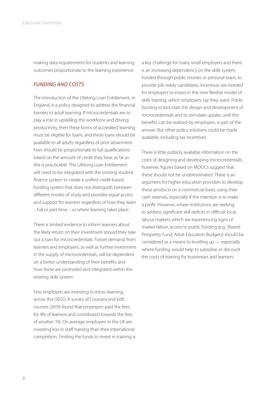making data requirements for students and learning outcomes proportionate to the learning experience.

#### *FUNDING AND COSTS*

The introduction of the Lifelong Loan Entitlement, in England, is a policy designed to address the financial barriers to adult learning. If microcredentials are to play a role in upskilling the workforce and driving productivity, then these forms of accredited learning must be eligible for loans, and these loans should be available to all adults regardless of prior attainment. Fees should be proportionate to full qualifications based on the amount of credit they bear, as far as this is practicable. The Lifelong Loan Entitlement will need to be integrated with the existing student finance system to create a unified credit-based funding system that does not distinguish between different modes of study and provides equal access and support for learners regardless of how they learn – full or part-time – or where learning takes place.

There is limited evidence to inform learners about the likely return on their investment should they take out a loan for microcredentials. Future demand, from learners and employers, as well as further investment in the supply of microcredentials, will be dependent on a better understanding of their benefits and how these are promoted and integrated within the existing skills system.

Few employers are investing in micro-learning, across the OECD. A survey of Coursera and edX courses (2019) found that employers paid the fees for 4% of learners and contributed towards the fees of another 1%. On average employers in the UK are investing less in staff training than their international competitors. Finding the funds to invest in training is a key challenge for many small employers and there is an increasing dependency on the skills system, funded through public monies or personal loans, to provide job-ready candidates. Incentives are needed for employers to invest in this new flexible model of skills training, which employers say they want. Public funding to kick-start the design and development of microcredentials and to stimulate uptake, until the benefits can be realised by employers, is part of the answer. But other policy solutions could be made available, including tax incentives.

There is little publicly available information on the costs of designing and developing microcredentials, however, figures based on MOOCs suggest that these should not be underestimated. There is an argument for higher education providers to develop these products on a commercial basis, using their cash reserves, especially if the intention is to make a profit. However, where institutions are seeking to address significant skill deficits in difficult local labour markets which are experiencing signs of market failure, access to public funding (e.g. Shared Prosperity Fund, Adult Education Budgets) should be considered as a means to levelling up — especially where funding would help to subsidise or discount the costs of training for businesses and learners.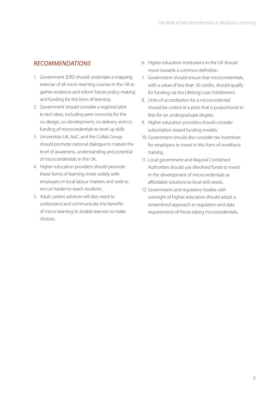### *RECOMMENDATIONS*

- 1. Government (DfE) should undertake a mapping exercise of all micro-learning courses in the UK to gather evidence and inform future policy making and funding for this form of learning.
- 2. Government should consider a regional pilot to test ideas, including peer consortia for the co-design, co-development, co-delivery and cofunding of microcredentials to level up skills.
- 3. Universities UK, AoC, and the Collab Group should promote national dialogue to mature the level of awareness, understanding and potential of microcredentials in the UK.
- 4. Higher education providers should promote these forms of learning more widely with employers in local labour markets and seek to recruit harder-to-reach students.
- 5. Adult careers advisors will also need to understand and communicate the benefits of micro-learning to enable learners to make choices.
- 6. Higher education institutions in the UK should move towards a common definition.
- 7. Government should ensure that microcredentials, with a value of less than 30 credits, should qualify for funding via the Lifelong Loan Entitlement.
- 8. Units of accreditation for a microcredential should be costed at a price that is proportional to fees for an undergraduate degree.
- 9. Higher education providers should consider subscription-based funding models.
- 10. Government should also consider tax incentives for employers to invest in this form of workforce training.
- 11. Local government and Mayoral Combined Authorities should use devolved funds to invest in the development of microcredentials as affordable solutions to local skill needs.
- 12. Government and regulatory bodies with oversight of higher education should adopt a streamlined approach to regulation and data requirements of those taking microcredentials.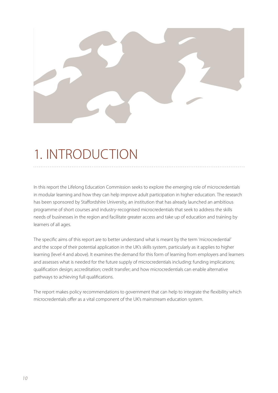

# 1. INTRODUCTION

In this report the Lifelong Education Commission seeks to explore the emerging role of microcredentials in modular learning and how they can help improve adult participation in higher education. The research has been sponsored by Staffordshire University, an institution that has already launched an ambitious programme of short courses and industry-recognised microcredentials that seek to address the skills needs of businesses in the region and facilitate greater access and take up of education and training by learners of all ages.

The specific aims of this report are to better understand what is meant by the term 'microcredential' and the scope of their potential application in the UK's skills system, particularly as it applies to higher learning (level 4 and above). It examines the demand for this form of learning from employers and learners and assesses what is needed for the future supply of microcredentials including: funding implications; qualification design; accreditation; credit transfer; and how microcredentials can enable alternative pathways to achieving full qualifications.

The report makes policy recommendations to government that can help to integrate the flexibility which microcredentials offer as a vital component of the UK's mainstream education system.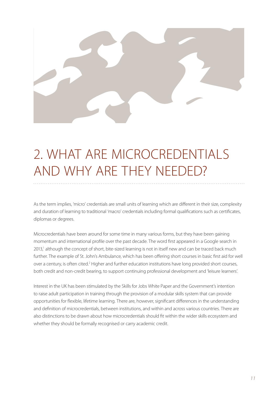

# 2. WHAT ARE MICROCREDENTIALS AND WHY ARE THEY NEEDED?

As the term implies, 'micro' credentials are small units of learning which are different in their size, complexity and duration of learning to traditional 'macro' credentials including formal qualifications such as certificates, diplomas or degrees.

Microcredentials have been around for some time in many various forms, but they have been gaining momentum and international profile over the past decade. The word first appeared in a Google search in 2013,<sup>1</sup> although the concept of short, bite-sized learning is not in itself new and can be traced back much further. The example of St. John's Ambulance, which has been offering short courses in basic first aid for well over a century, is often cited.<sup>2</sup> Higher and further education institutions have long provided short courses, both credit and non-credit bearing, to support continuing professional development and 'leisure learners'.

Interest in the UK has been stimulated by the Skills for Jobs White Paper and the Government's intention to raise adult participation in training through the provision of a modular skills system that can provide opportunities for flexible, lifetime learning. There are, however, significant differences in the understanding and definition of microcredentials, between institutions, and within and across various countries. There are also distinctions to be drawn about how microcredentials should fit within the wider skills ecosystem and whether they should be formally recognised or carry academic credit.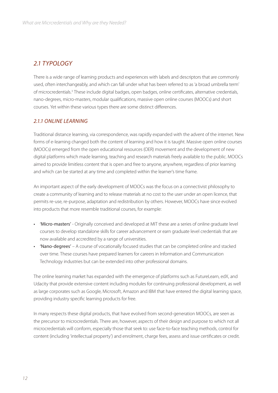#### *2.1 TYPOLOGY*

There is a wide range of learning products and experiences with labels and descriptors that are commonly used, often interchangeably, and which can fall under what has been referred to as 'a broad umbrella term' of microcredentials.<sup>3</sup> These include digital badges, open badges, online certificates, alternative credentials, nano-degrees, micro-masters, modular qualifications, massive open online courses (MOOCs) and short courses. Yet within these various types there are some distinct differences.

#### *2.1.1 ONLINE LEARNING*

Traditional distance learning, via correspondence, was rapidly expanded with the advent of the internet. New forms of e-learning changed both the content of learning and how it is taught. Massive open online courses (MOOCs) emerged from the open educational resources (OER) movement and the development of new digital platforms which made learning, teaching and research materials freely available to the public. MOOCs aimed to provide limitless content that is open and free to anyone, anywhere, regardless of prior learning and which can be started at any time and completed within the learner's time frame.

An important aspect of the early development of MOOCs was the focus on a connectivist philosophy to create a community of learning and to release materials at no cost to the user under an open licence, that permits re-use, re-purpose, adaptation and redistribution by others. However, MOOCs have since evolved into products that more resemble traditional courses, for example:

- 'Micro-masters' Originally conceived and developed at MIT these are a series of online graduate level courses to develop standalone skills for career advancement or earn graduate level credentials that are now available and accredited by a range of universities.
- 'Nano-degrees' A course of vocationally focused studies that can be completed online and stacked over time. These courses have prepared learners for careers in Information and Communication Technology industries but can be extended into other professional domains.

The online learning market has expanded with the emergence of platforms such as FutureLearn, edX, and Udacity that provide extensive content including modules for continuing professional development, as well as large corporates such as Google, Microsoft, Amazon and IBM that have entered the digital learning space, providing industry specific learning products for free.

In many respects these digital products, that have evolved from second-generation MOOCs, are seen as the precursor to microcredentials. There are, however, aspects of their design and purpose to which not all microcredentials will conform, especially those that seek to: use face-to-face teaching methods, control for content (including 'intellectual property') and enrolment, charge fees, assess and issue certificates or credit.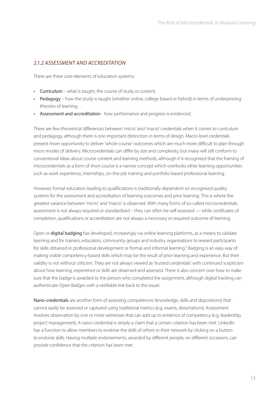#### *2.1.2 ASSESSMENT AND ACCREDITATION*

There are three core elements of education systems:

- Curriculum what is taught, the course of study or content.
- Pedagogy how the study is taught (whether online, college based or hybrid) in terms of underpinning theories of learning.
- Assessment and accreditation how performance and progress is evidenced.

There are few theoretical differences between 'micro' and 'macro' credentials when it comes to curriculum and pedagogy, although there is one important distinction in terms of design. Macro level credentials present more opportunity to deliver 'whole course' outcomes which are much more difficult to plan through micro modes of delivery. Microcredentials can differ by size and complexity, but many will still conform to conventional ideas about course content and learning methods, although it is recognised that the framing of microcredentials as a form of short course is a narrow concept which overlooks other learning opportunities such as work experience, internships, on-the-job training and portfolio-based professional learning.

However, formal education leading to qualifications is traditionally dependent on recognised quality systems for the assessment and accreditation of learning outcomes and prior learning. This is where the greatest variance between 'micro' and 'macro' is observed. With many forms of so-called microcredentials, assessment is not always required or standardised – they can often be self-assessed — while certificates of completion, qualifications or accreditation are not always a necessary or required outcome of learning.

Open or digital badging has developed, increasingly via online learning platforms, as a means to validate learning and for trainers, educators, community groups and industry organisations to reward participants for skills obtained in professional development or formal and informal learning.<sup>4</sup> Badging is an easy way of making visible competency-based skills which may be the result of prior learning and experience. But their validity is not without criticism. They are not always viewed as 'trusted credentials' with continued scepticism about how learning, experience or skills are observed and assessed. There is also concern over how to make sure that the badge is awarded to the person who completed the assignment, although digital tracking can authenticate Open Badges with a verifiable link back to the issuer.

Nano-credentials are another form of assessing competences (knowledge, skills and dispositions) that cannot easily be assessed or captured using traditional metrics (e.g. exams, dissertations). Assessment involves observation by one or more witnesses that can add up to evidence of competency (e.g. leadership, project management). A nano-credential is simply a claim that a certain criterion has been met. LinkedIn has a function to allow members to endorse the skills of others in their network by clicking on a button to endorse skills. Having multiple endorsements, awarded by different people, on different occasions, can provide confidence that the criterion has been met.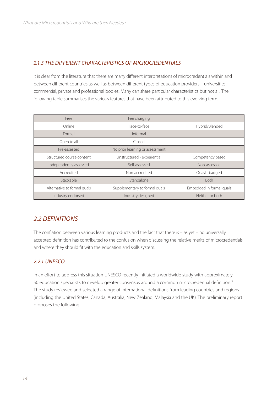#### *2.1.3 THE DIFFERENT CHARACTERISTICS OF MICROCREDENTIALS*

It is clear from the literature that there are many different interpretations of microcredentials within and between different countries as well as between different types of education providers – universities, commercial, private and professional bodies. Many can share particular characteristics but not all. The following table summarises the various features that have been attributed to this evolving term.

| Free                        | Fee charging                    |                          |
|-----------------------------|---------------------------------|--------------------------|
| Online                      | Face-to-face                    | Hybrid/Blended           |
| Formal                      | Informal                        |                          |
| Open to all                 | Closed                          |                          |
| Pre-assessed                | No prior learning or assessment |                          |
| Structured course content   | Unstructured - experiential     | Competency based         |
| Independently assessed      | Self-assessed                   | Non-assessed             |
| Accredited                  | Non-accredited                  | Quasi - badged           |
| Stackable                   | Standalone                      | <b>Both</b>              |
| Alternative to formal quals | Supplementary to formal quals   | Embedded in formal quals |
| Industry endorsed           | Industry designed               | Neither or both          |

#### *2.2 DEFINITIONS*

The conflation between various learning products and the fact that there is – as yet – no universally accepted definition has contributed to the confusion when discussing the relative merits of microcredentials and where they should fit with the education and skills system.

#### *2.2.1 UNESCO*

In an effort to address this situation UNESCO recently initiated a worldwide study with approximately 50 education specialists to develop greater consensus around a common microcredential definition.<sup>5</sup> The study reviewed and selected a range of international definitions from leading countries and regions (including the United States, Canada, Australia, New Zealand, Malaysia and the UK). The preliminary report proposes the following: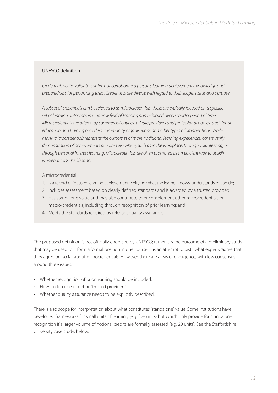#### UNESCO definition

*Credentials verify, validate, confirm, or corroborate a person's learning achievements, knowledge and preparedness for performing tasks. Credentials are diverse with regard to their scope, status and purpose.* 

*A subset of credentials can be referred to as microcredentials: these are typically focused on a specific set of learning outcomes in a narrow field of learning and achieved over a shorter period of time. Microcredentials are offered by commercial entities, private providers and professional bodies, traditional education and training providers, community organisations and other types of organisations. While many microcredentials represent the outcomes of more traditional learning experiences, others verify demonstration of achievements acquired elsewhere, such as in the workplace, through volunteering, or through personal interest learning. Microcredentials are often promoted as an efficient way to upskill workers across the lifespan.*

#### A microcredential:

- 1. Is a record of focused learning achievement verifying what the learner knows, understands or can do;
- 2. Includes assessment based on clearly defined standards and is awarded by a trusted provider;
- 3. Has standalone value and may also contribute to or complement other microcredentials or macro-credentials, including through recognition of prior learning; and
- 4. Meets the standards required by relevant quality assurance.

The proposed definition is not officially endorsed by UNESCO; rather it is the outcome of a preliminary study that may be used to inform a formal position in due course. It is an attempt to distil what experts 'agree that they agree on' so far about microcredentials. However, there are areas of divergence, with less consensus around three issues:

- Whether recognition of prior learning should be included.
- How to describe or define 'trusted providers'.
- Whether quality assurance needs to be explicitly described.

There is also scope for interpretation about what constitutes 'standalone' value. Some institutions have developed frameworks for small units of learning (e.g. five units) but which only provide for standalone recognition if a larger volume of notional credits are formally assessed (e.g. 20 units). See the Staffordshire University case study, below.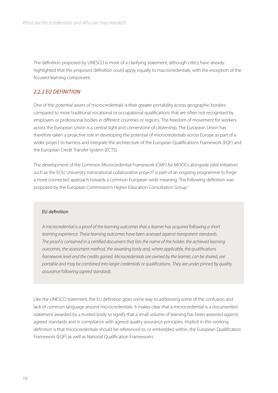The definition proposed by UNESCO is more of a clarifying statement, although critics have already highlighted that the proposed definition could apply equally to macrocredentials, with the exception of the focused learning component.

#### *2.2.2 EU DEFINITION*

One of the potential assets of microcredentials is their greater portability across geographic borders compared to more traditional vocational or occupational qualifications that are often not recognised by employers or professional bodies in different countries or regions. The freedom of movement for workers across the European Union is a central right and cornerstone of citizenship. The European Union has therefore taken a proactive role in developing the potential of microcredentials across Europe as part of a wider project to harness and integrate the architecture of the European Qualifications Framework (EQF) and the European Credit Transfer System (ECTS).

The development of the Common Microcredential Framework (CMF) for MOOCs alongside pilot initiatives such as the ECIU University transnational collaborative project<sup>6</sup> is part of an ongoing programme to forge a more connected approach towards a common European-wide meaning. The following definition was proposed by the European Commission's Higher Education Consultation Group.7

#### EU definition

*A microcredential is a proof of the learning outcomes that a learner has acquired following a short learning experience. These learning outcomes have been assessed against transparent standards. The proof is contained in a certified document that lists the name of the holder, the achieved learning outcomes, the assessment method, the awarding body and, where applicable, the qualifications framework level and the credits gained. Microcredentials are owned by the learner, can be shared, are portable and may be combined into larger credentials or qualifications. They are under pinned by quality assurance following agreed standards.*

Like the UNESCO statement, the EU definition goes some way to addressing some of the confusion and lack of common language around microcredentials. It makes clear that a microcredential is a documented statement awarded by a trusted body to signify that a small volume of learning has been assessed against agreed standards and in compliance with agreed quality assurance principles. Implicit in this working definition is that microcredentials should be referenced to, or embedded within, the European Qualification Framework (EQF) as well as National Qualification Frameworks.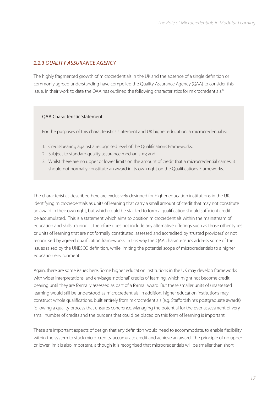#### *2.2.3 QUALITY ASSURANCE AGENCY*

The highly fragmented growth of microcredentials in the UK and the absence of a single definition or commonly agreed understanding have compelled the Quality Assurance Agency (QAA) to consider this issue. In their work to date the QAA has outlined the following characteristics for microcredentials.<sup>8</sup>

#### QAA Characteristic Statement

For the purposes of this characteristics statement and UK higher education, a microcredential is:

- 1. Credit-bearing against a recognised level of the Qualifications Frameworks;
- 2. Subject to standard quality assurance mechanisms; and
- 3. Whilst there are no upper or lower limits on the amount of credit that a microcredential carries, it should not normally constitute an award in its own right on the Qualifications Frameworks.

The characteristics described here are exclusively designed for higher education institutions in the UK, identifying microcredentials as units of learning that carry a small amount of credit that may not constitute an award in their own right, but which could be stacked to form a qualification should sufficient credit be accumulated. This is a statement which aims to position microcredentials within the mainstream of education and skills training. It therefore does not include any alternative offerings such as those other types or units of learning that are not formally constituted, assessed and accredited by 'trusted providers' or not recognised by agreed qualification frameworks. In this way the QAA characteristics address some of the issues raised by the UNESCO definition, while limiting the potential scope of microcredentials to a higher education environment.

Again, there are some issues here. Some higher education institutions in the UK may develop frameworks with wider interpretations, and envisage 'notional' credits of learning, which might not become credit bearing until they are formally assessed as part of a formal award. But these smaller units of unassessed learning would still be understood as microcredentials. In addition, higher education institutions may construct whole qualifications, built entirely from microcredentials (e.g. Staffordshire's postgraduate awards) following a quality process that ensures coherence. Managing the potential for the over-assessment of very small number of credits and the burdens that could be placed on this form of learning is important.

These are important aspects of design that any definition would need to accommodate, to enable flexibility within the system to stack micro-credits, accumulate credit and achieve an award. The principle of no upper or lower limit is also important, although it is recognised that microcredentials will be smaller than short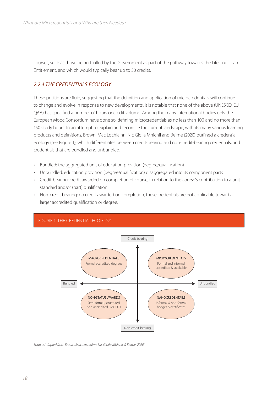courses, such as those being trialled by the Government as part of the pathway towards the Lifelong Loan Entitlement, and which would typically bear up to 30 credits.

#### *2.2.4 THE CREDENTIALS ECOLOGY*

These positions are fluid, suggesting that the definition and application of microcredentials will continue to change and evolve in response to new developments. It is notable that none of the above (UNESCO, EU, QAA) has specified a number of hours or credit volume. Among the many international bodies only the European Mooc Consortium have done so, defining microcredentials as no less than 100 and no more than 150 study hours. In an attempt to explain and reconcile the current landscape, with its many various learning products and definitions, Brown, Mac Lochlainn, Nic Giolla Mhichíl and Beirne (2020) outlined a credential ecology (see Figure 1), which differentiates between credit-bearing and non-credit-bearing credentials, and credentials that are bundled and unbundled.

- Bundled: the aggregated unit of education provision (degree/qualification)
- Unbundled: education provision (degree/qualification) disaggregated into its component parts
- Credit-bearing: credit awarded on completion of course, in relation to the course's contribution to a unit standard and/or (part) qualification.
- Non-credit bearing: no credit awarded on completion, these credentials are not applicable toward a larger accredited qualification or degree.



*Source: Adapted from Brown, Mac Lochlainn, Nic Giolla Mhichíl, & Beirne, 20209*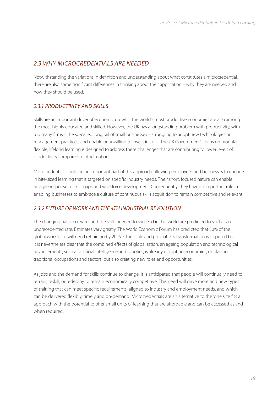#### *2.3 WHY MICROCREDENTIALS ARE NEEDED*

Notwithstanding the variations in definition and understanding about what constitutes a microcredential, there are also some significant differences in thinking about their application – why they are needed and how they should be used.

#### *2.3.1 PRODUCTIVITY AND SKILLS*

Skills are an important driver of economic growth. The world's most productive economies are also among the most highly educated and skilled. However, the UK has a longstanding problem with productivity, with too many firms – the so-called long tail of small businesses – struggling to adopt new technologies or management practices, and unable or unwilling to invest in skills. The UK Government's focus on modular, flexible, lifelong learning is designed to address these challenges that are contributing to lower levels of productivity compared to other nations.

Microcredentials could be an important part of this approach, allowing employees and businesses to engage in bite-sized learning that is targeted on specific industry needs. Their short, focused nature can enable an agile response to skills gaps and workforce development. Consequently, they have an important role in enabling businesses to embrace a culture of continuous skills acquisition to remain competitive and relevant.

#### *2.3.2 FUTURE OF WORK AND THE 4TH INDUSTRIAL REVOLUTION*

The changing nature of work and the skills needed to succeed in this world are predicted to shift at an unprecedented rate. Estimates vary greatly. The World Economic Forum has predicted that 50% of the global workforce will need retraining by 2025.<sup>10</sup> The scale and pace of this transformation is disputed but it is nevertheless clear that the combined effects of globalisation, an ageing population and technological advancements, such as artificial intelligence and robotics, is already disrupting economies, displacing traditional occupations and sectors, but also creating new roles and opportunities.

As jobs and the demand for skills continue to change, it is anticipated that people will continually need to retrain, reskill, or redeploy to remain economically competitive. This need will drive more and new types of training that can meet specific requirements, aligned to industry and employment needs, and which can be delivered flexibly, timely and on-demand. Microcredentials are an alternative to the 'one size fits all' approach with the potential to offer small units of learning that are affordable and can be accessed as and when required.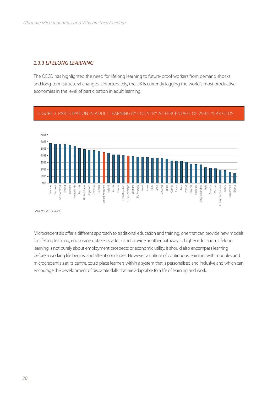#### *2.3.3 LIFELONG LEARNING*

The OECD has highlighted the need for lifelong learning to future-proof workers from demand shocks and long-term structural changes. Unfortunately, the UK is currently lagging the world's most productive economies in the level of participation in adult learning.





*Source: OECD 202111*

Microcredentials offer a different approach to traditional education and training, one that can provide new models for lifelong learning, encourage uptake by adults and provide another pathway to higher education. Lifelong learning is not purely about employment prospects or economic utility. It should also encompass learning before a working life begins, and after it concludes. However, a culture of continuous learning, with modules and microcredentials at its centre, could place learners within a system that is personalised and inclusive and which can encourage the development of disparate skills that are adaptable to a life of learning and work.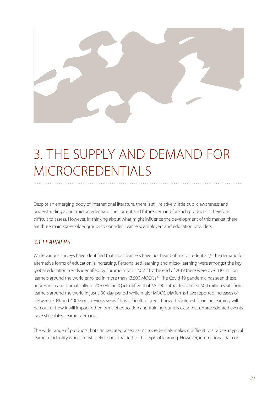

# 3. THE SUPPLY AND DEMAND FOR MICROCREDENTIALS

Despite an emerging body of international literature, there is still relatively little public awareness and understanding about microcredentials. The current and future demand for such products is therefore difficult to assess. However, in thinking about what might influence the development of this market, there are three main stakeholder groups to consider: Learners, employers and education providers.

#### *3.1 LEARNERS*

While various surveys have identified that most learners have not heard of microcredentials,<sup>12</sup> the demand for alternative forms of education is increasing. Personalised learning and micro-learning were amongst the key global education trends identified by Euromonitor in 2017.<sup>13</sup> By the end of 2019 there were over 110 million learners around the world enrolled in more than 13,500 MOOCs.<sup>14</sup> The Covid-19 pandemic has seen these figures increase dramatically. In 2020 Holon IQ identified that MOOCs attracted almost 500 million visits from learners around the world in just a 30-day period while major MOOC platforms have reported increases of between 50% and 400% on previous years.15 It is difficult to predict how this interest in online learning will pan out or how it will impact other forms of education and training but it is clear that unprecedented events have stimulated learner demand.

The wide range of products that can be categorised as microcredentials makes it difficult to analyse a typical learner or identify who is most likely to be attracted to this type of learning. However, international data on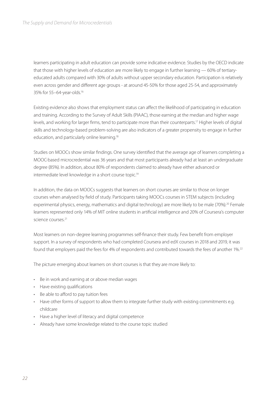learners participating in adult education can provide some indicative evidence. Studies by the OECD indicate that those with higher levels of education are more likely to engage in further learning — 60% of tertiaryeducated adults compared with 30% of adults without upper secondary education. Participation is relatively even across gender and different age groups - at around 45-50% for those aged 25-54, and approximately 35% for 55–64-year-olds.16

Existing evidence also shows that employment status can affect the likelihood of participating in education and training. According to the Survey of Adult Skills (PIAAC), those earning at the median and higher wage levels, and working for larger firms, tend to participate more than their counterparts.17 Higher levels of digital skills and technology-based problem-solving are also indicators of a greater propensity to engage in further education, and particularly online learning.18

Studies on MOOCs show similar findings. One survey identified that the average age of learners completing a MOOC-based microcredential was 36 years and that most participants already had at least an undergraduate degree (85%). In addition, about 80% of respondents claimed to already have either advanced or intermediate level knowledge in a short course topic.<sup>19</sup>

In addition, the data on MOOCs suggests that learners on short courses are similar to those on longer courses when analysed by field of study. Participants taking MOOCs courses in STEM subjects (including experimental physics, energy, mathematics and digital technology) are more likely to be male (70%).<sup>20</sup> Female learners represented only 14% of MIT online students in artificial intelligence and 20% of Coursera's computer science courses<sup>21</sup>

Most learners on non-degree learning programmes self-finance their study. Few benefit from employer support. In a survey of respondents who had completed Coursera and edX courses in 2018 and 2019, it was found that employers paid the fees for 4% of respondents and contributed towards the fees of another 1%.<sup>22</sup>

The picture emerging about learners on short courses is that they are more likely to:

- Be in work and earning at or above median wages
- Have existing qualifications
- Be able to afford to pay tuition fees
- Have other forms of support to allow them to integrate further study with existing commitments e.g. childcare
- Have a higher level of literacy and digital competence
- Already have some knowledge related to the course topic studied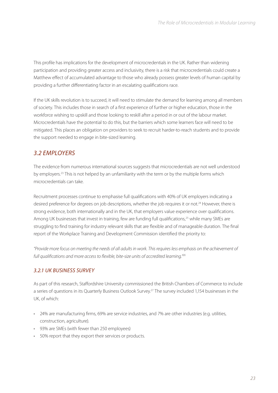This profile has implications for the development of microcredentials in the UK. Rather than widening participation and providing greater access and inclusivity, there is a risk that microcredentials could create a Matthew effect of accumulated advantage to those who already possess greater levels of human capital by providing a further differentiating factor in an escalating qualifications race.

If the UK skills revolution is to succeed, it will need to stimulate the demand for learning among all members of society. This includes those in search of a first experience of further or higher education, those in the workforce wishing to upskill and those looking to reskill after a period in or out of the labour market. Microcredentials have the potential to do this, but the barriers which some learners face will need to be mitigated. This places an obligation on providers to seek to recruit harder-to-reach students and to provide the support needed to engage in bite-sized learning.

#### *3.2 EMPLOYERS*

The evidence from numerous international sources suggests that microcredentials are not well understood by employers.23 This is not helped by an unfamiliarity with the term or by the multiple forms which microcredentials can take.

Recruitment processes continue to emphasise full qualifications with 40% of UK employers indicating a desired preference for degrees on job descriptions, whether the job requires it or not.<sup>24</sup> However, there is strong evidence, both internationally and in the UK, that employers value experience over qualifications. Among UK businesses that invest in training, few are funding full qualifications,<sup>25</sup> while many SMEs are struggling to find training for industry relevant skills that are flexible and of manageable duration. The final report of the Workplace Training and Development Commission identified the priority to:

*"Provide more focus on meeting the needs of all adults in work. This requires less emphasis on the achievement of full qualifications and more access to flexible, bite-size units of accredited learning."26*

#### *3.2.1 UK BUSINESS SURVEY*

As part of this research, Staffordshire University commissioned the British Chambers of Commerce to include a series of questions in its Quarterly Business Outlook Survey.27 The survey included 1,154 businesses in the UK, of which:

- 24% are manufacturing firms, 69% are service industries, and 7% are other industries (e.g. utilities, construction, agriculture).
- 93% are SMEs (with fewer than 250 employees)
- 50% report that they export their services or products.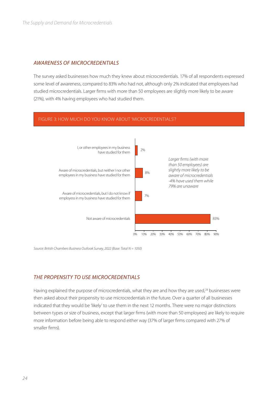#### *AWARENESS OF MICROCREDENTIALS*

The survey asked businesses how much they knew about microcredentials. 17% of all respondents expressed some level of awareness, compared to 83% who had not, although only 2% indicated that employees had studied microcredentials. Larger firms with more than 50 employees are slightly more likely to be aware (21%), with 4% having employees who had studied them.



*Source: British Chambers Business Outlook Survey, 2022 (Base: Total N = 1050)*

#### *THE PROPENSITY TO USE MICROCREDENTIALS*

Having explained the purpose of microcredentials, what they are and how they are used,<sup>28</sup> businesses were then asked about their propensity to use microcredentials in the future. Over a quarter of all businesses indicated that they would be 'likely' to use them in the next 12 months. There were no major distinctions between types or size of business, except that larger firms (with more than 50 employees) are likely to require more information before being able to respond either way (37% of larger firms compared with 27% of smaller firms).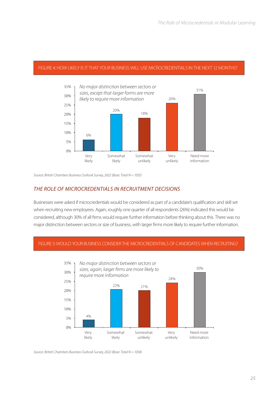#### FIGURE 4: HOW LIKELY IS IT THAT YOUR BUSINESS WILL USE MICROCREDENTIALS IN THE NEXT 12 MONTHS?



*Source: British Chambers Business Outlook Survey, 2022 (Base: Total N = 1035)*

#### *THE ROLE OF MICROCREDENTIALS IN RECRUITMENT DECISIONS*

Businesses were asked if microcredentials would be considered as part of a candidate's qualification and skill set when recruiting new employees. Again, roughly one quarter of all respondents (26%) indicated this would be considered, although 30% of all firms would require further information before thinking about this. There was no major distinction between sectors or size of business, with larger firms more likely to require further information.

#### FIGURE 5: WOULD YOUR BUSINESS CONSIDER THE MICROCREDENTIALS OF CANDIDATES WHEN RECRUITING?



*Source: British Chambers Business Outlook Survey, 2022 (Base: Total N = 1034)*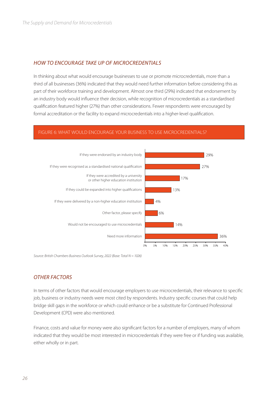#### *HOW TO ENCOURAGE TAKE UP OF MICROCREDENTIALS*

In thinking about what would encourage businesses to use or promote microcredentials, more than a third of all businesses (36%) indicated that they would need further information before considering this as part of their workforce training and development. Almost one third (29%) indicated that endorsement by an industry body would influence their decision, while recognition of microcredentials as a standardised qualification featured higher (27%) than other considerations. Fewer respondents were encouraged by formal accreditation or the facility to expand microcredentials into a higher-level qualification.

#### FIGURE 6: WHAT WOULD ENCOURAGE YOUR BUSINESS TO USE MICROCREDENTIALS?



*Source: British Chambers Business Outlook Survey, 2022 (Base: Total N = 1026)*

#### *OTHER FACTORS*

In terms of other factors that would encourage employers to use microcredentials, their relevance to specific job, business or industry needs were most cited by respondents. Industry specific courses that could help bridge skill gaps in the workforce or which could enhance or be a substitute for Continued Professional Development (CPD) were also mentioned.

Finance, costs and value for money were also significant factors for a number of employers, many of whom indicated that they would be most interested in microcredentials if they were free or if funding was available, either wholly or in part.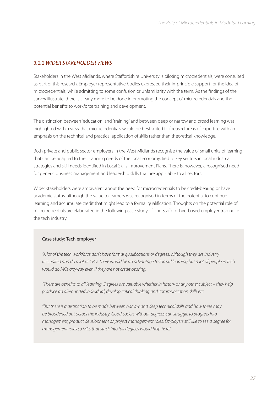#### *3.2.2 WIDER STAKEHOLDER VIEWS*

Stakeholders in the West Midlands, where Staffordshire University is piloting microcredentials, were consulted as part of this research. Employer representative bodies expressed their in-principle support for the idea of microcredentials, while admitting to some confusion or unfamiliarity with the term. As the findings of the survey illustrate, there is clearly more to be done in promoting the concept of microcredentials and the potential benefits to workforce training and development.

The distinction between 'education' and 'training' and between deep or narrow and broad learning was highlighted with a view that microcredentials would be best suited to focused areas of expertise with an emphasis on the technical and practical application of skills rather than theoretical knowledge.

Both private and public sector employers in the West Midlands recognise the value of small units of learning that can be adapted to the changing needs of the local economy, tied to key sectors in local industrial strategies and skill needs identified in Local Skills Improvement Plans. There is, however, a recognised need for generic business management and leadership skills that are applicable to all sectors.

Wider stakeholders were ambivalent about the need for microcredentials to be credit-bearing or have academic status, although the value to learners was recognised in terms of the potential to continue learning and accumulate credit that might lead to a formal qualification. Thoughts on the potential role of microcredentials are elaborated in the following case study of one Staffordshire-based employer trading in the tech industry.

#### Case study: Tech employer

*"A lot of the tech workforce don't have formal qualifications or degrees, although they are industry accredited and do a lot of CPD. There would be an advantage to formal learning but a lot of people in tech would do MCs anyway even if they are not credit bearing.*

*"There are benefits to all learning. Degrees are valuable whether in history or any other subject – they help produce an all-rounded individual, develop critical thinking and communication skills etc.*

*"But there is a distinction to be made between narrow and deep technical skills and how these may be broadened out across the industry. Good coders without degrees can struggle to progress into management, product development or project management roles. Employers still like to see a degree for management roles so MCs that stack into full degrees would help here."*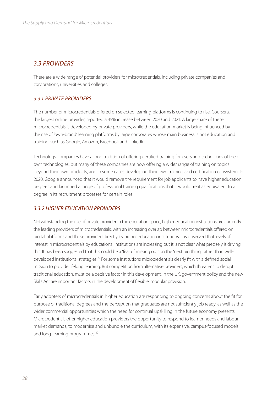#### *3.3 PROVIDERS*

There are a wide range of potential providers for microcredentials, including private companies and corporations, universities and colleges.

#### *3.3.1 PRIVATE PROVIDERS*

The number of microcredentials offered on selected learning platforms is continuing to rise. Coursera, the largest online provider, reported a 35% increase between 2020 and 2021. A large share of these microcredentials is developed by private providers, while the education market is being influenced by the rise of 'own-brand' learning platforms by large corporates whose main business is not education and training, such as Google, Amazon, Facebook and LinkedIn.

Technology companies have a long tradition of offering certified training for users and technicians of their own technologies, but many of these companies are now offering a wider range of training on topics beyond their own products, and in some cases developing their own training and certification ecosystem. In 2020, Google announced that it would remove the requirement for job applicants to have higher education degrees and launched a range of professional training qualifications that it would treat as equivalent to a degree in its recruitment processes for certain roles.

#### *3.3.2 HIGHER EDUCATION PROVIDERS*

Notwithstanding the rise of private provider in the education space, higher education institutions are currently the leading providers of microcredentials, with an increasing overlap between microcredentials offered on digital platforms and those provided directly by higher education institutions. It is observed that levels of interest in microcredentials by educational institutions are increasing but it is not clear what precisely is driving this. It has been suggested that this could be a 'fear of missing out' on the 'next big thing' rather than welldeveloped institutional strategies.29 For some institutions microcredentials clearly fit with a defined social mission to provide lifelong learning. But competition from alternative providers, which threatens to disrupt traditional education, must be a decisive factor in this development. In the UK, government policy and the new Skills Act are important factors in the development of flexible, modular provision.

Early adopters of microcredentials in higher education are responding to ongoing concerns about the fit for purpose of traditional degrees and the perception that graduates are not sufficiently job ready, as well as the wider commercial opportunities which the need for continual upskilling in the future economy presents. Microcredentials offer higher education providers the opportunity to respond to learner needs and labour market demands, to modernise and unbundle the curriculum, with its expensive, campus-focused models and long-learning programmes.<sup>30</sup>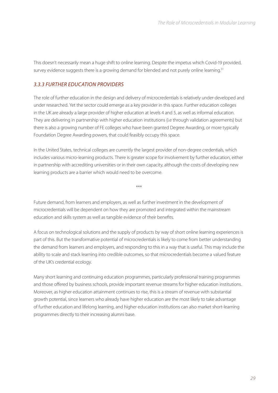This doesn't necessarily mean a huge shift to online learning. Despite the impetus which Covid-19 provided, survey evidence suggests there is a growing demand for blended and not purely online learning.<sup>31</sup>

#### *3.3.3 FURTHER EDUCATION PROVIDERS*

The role of further education in the design and delivery of microcredentials is relatively under-developed and under researched. Yet the sector could emerge as a key provider in this space. Further education colleges in the UK are already a large provider of higher education at levels 4 and 5, as well as informal education. They are delivering in partnership with higher education institutions (i.e through validation agreements) but there is also a growing number of FE colleges who have been granted Degree Awarding, or more typically Foundation Degree Awarding powers, that could feasibly occupy this space.

In the United States, technical colleges are currently the largest provider of non-degree credentials, which includes various micro-learning products. There is greater scope for involvement by further education, either in partnership with accrediting universities or in their own capacity, although the costs of developing new learning products are a barrier which would need to be overcome.

\*\*\*

Future demand, from learners and employers, as well as further investment in the development of microcredentials will be dependent on how they are promoted and integrated within the mainstream education and skills system as well as tangible evidence of their benefits.

A focus on technological solutions and the supply of products by way of short online learning experiences is part of this. But the transformative potential of microcredentials is likely to come from better understanding the demand from learners and employers, and responding to this in a way that is useful. This may include the ability to scale and stack learning into credible outcomes, so that microcredentials become a valued feature of the UK's credential ecology.

Many short learning and continuing education programmes, particularly professional training programmes and those offered by business schools, provide important revenue streams for higher education institutions. Moreover, as higher education attainment continues to rise, this is a stream of revenue with substantial growth potential, since learners who already have higher education are the most likely to take advantage of further education and lifelong learning, and higher education institutions can also market short-learning programmes directly to their increasing alumni base.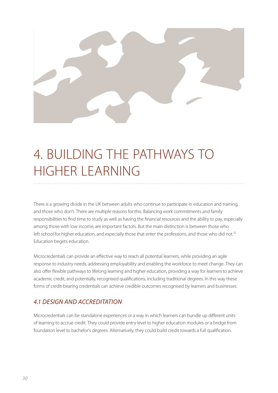

# 4. BUILDING THE PATHWAYS TO HIGHER LEARNING

There is a growing divide in the UK between adults who continue to participate in education and training, and those who don't. There are multiple reasons for this. Balancing work commitments and family responsibilities to find time to study as well as having the financial resources and the ability to pay, especially among those with low income, are important factors. But the main distinction is between those who left school for higher education, and especially those that enter the professions, and those who did not.<sup>32</sup> Education begets education.

Microcredentials can provide an effective way to reach all potential learners, while providing an agile response to industry needs, addressing employability and enabling the workforce to meet change. They can also offer flexible pathways to lifelong learning and higher education, providing a way for learners to achieve academic credit, and potentially, recognised qualifications, including traditional degrees. In this way these forms of credit-bearing credentials can achieve credible outcomes recognised by learners and businesses.

#### *4.1 DESIGN AND ACCREDITATION*

Microcredentials can be standalone experiences or a way in which learners can bundle up different units of learning to accrue credit. They could provide entry level to higher education modules or a bridge from foundation level to bachelor's degrees. Alternatively, they could build credit towards a full qualification.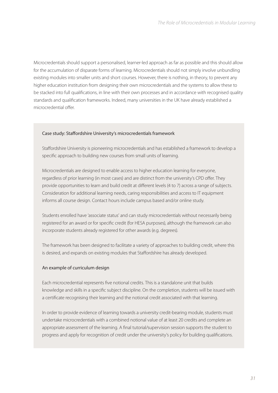Microcredentials should support a personalised, learner-led approach as far as possible and this should allow for the accumulation of disparate forms of learning. Microcredentials should not simply involve unbundling existing modules into smaller units and short courses. However, there is nothing, in theory, to prevent any higher education institution from designing their own microcredentials and the systems to allow these to be stacked into full qualifications, in line with their own processes and in accordance with recognised quality standards and qualification frameworks. Indeed, many universities in the UK have already established a microcredential offer.

#### Case study: Staffordshire University's microcredentials framework

Staffordshire University is pioneering microcredentials and has established a framework to develop a specific approach to building new courses from small units of learning.

Microcredentials are designed to enable access to higher education learning for everyone, regardless of prior learning (in most cases) and are distinct from the university's CPD offer. They provide opportunities to learn and build credit at different levels (4 to 7) across a range of subjects. Consideration for additional learning needs, caring responsibilities and access to IT equipment informs all course design. Contact hours include campus based and/or online study.

Students enrolled have 'associate status' and can study microcredentials without necessarily being registered for an award or for specific credit (for HESA purposes), although the framework can also incorporate students already registered for other awards (e.g. degrees).

The framework has been designed to facilitate a variety of approaches to building credit, where this is desired, and expands on existing modules that Staffordshire has already developed.

#### An example of curriculum design

Each microcredential represents five notional credits. This is a standalone unit that builds knowledge and skills in a specific subject discipline. On the completion, students will be issued with a certificate recognising their learning and the notional credit associated with that learning.

In order to provide evidence of learning towards a university credit-bearing module, students must undertake microcredentials with a combined notional value of at least 20 credits and complete an appropriate assessment of the learning. A final tutorial/supervision session supports the student to progress and apply for recognition of credit under the university's policy for building qualifications.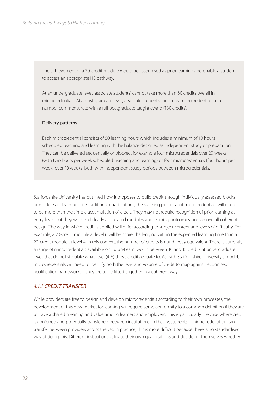The achievement of a 20-credit module would be recognised as prior learning and enable a student to access an appropriate HE pathway.

At an undergraduate level, 'associate students' cannot take more than 60 credits overall in microcredentials. At a post-graduate level, associate students can study microcredentials to a number commensurate with a full postgraduate taught award (180 credits).

#### Delivery patterns

Each microcredential consists of 50 learning hours which includes a minimum of 10 hours scheduled teaching and learning with the balance designed as independent study or preparation. They can be delivered sequentially or blocked, for example four microcredentials over 20 weeks (with two hours per week scheduled teaching and learning) or four microcredentials (four hours per week) over 10 weeks, both with independent study periods between microcredentials.

Staffordshire University has outlined how it proposes to build credit through individually assessed blocks or modules of learning. Like traditional qualifications, the stacking potential of microcredentials will need to be more than the simple accumulation of credit. They may not require recognition of prior learning at entry level, but they will need clearly articulated modules and learning outcomes, and an overall coherent design. The way in which credit is applied will differ according to subject content and levels of difficulty. For example, a 20-credit module at level 6 will be more challenging within the expected learning time than a 20-credit module at level 4. In this context, the number of credits is not directly equivalent. There is currently a range of microcredentials available on FutureLearn, worth between 10 and 15 credits at undergraduate level, that do not stipulate what level (4-6) these credits equate to. As with Staffordshire University's model, microcredentials will need to identify both the level and volume of credit to map against recognised qualification frameworks if they are to be fitted together in a coherent way.

#### *4.1.1 CREDIT TRANSFER*

While providers are free to design and develop microcredentials according to their own processes, the development of this new market for learning will require some conformity to a common definition if they are to have a shared meaning and value among learners and employers. This is particularly the case where credit is conferred and potentially transferred between institutions. In theory, students in higher education can transfer between providers across the UK. In practice, this is more difficult because there is no standardised way of doing this. Different institutions validate their own qualifications and decide for themselves whether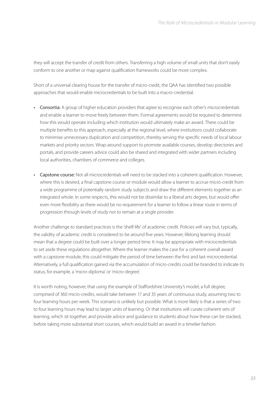they will accept the transfer of credit from others. Transferring a high volume of small units that don't easily conform to one another or map against qualification frameworks could be more complex.

Short of a universal clearing house for the transfer of micro-credit, the QAA has identified two possible approaches that would enable microcredentials to be built into a macro-credential.

- Consortia: A group of higher education providers that agree to recognise each other's microcredentials and enable a learner to move freely between them. Formal agreements would be required to determine how this would operate including which institution would ultimately make an award. There could be multiple benefits to this approach, especially at the regional level, where institutions could collaborate to minimise unnecessary duplication and competition, thereby serving the specific needs of local labour markets and priority sectors. Wrap-around support to promote available courses, develop directories and portals, and provide careers advice could also be shared and integrated with wider partners including local authorities, chambers of commerce and colleges.
- Capstone course: Not all microcredentials will need to be stacked into a coherent qualification. However, where this is desired, a final capstone course or module would allow a learner to accrue micro-credit from a wide programme of potentially random study subjects and draw the different elements together as an integrated whole. In some respects, this would not be dissimilar to a liberal arts degree, but would offer even more flexibility as there would be no requirement for a learner to follow a linear route in terms of progression through levels of study nor to remain at a single provider.

Another challenge to standard practices is the 'shelf-life' of academic credit. Policies will vary but, typically, the validity of academic credit is considered to be around five years. However, lifelong learning should mean that a degree could be built over a longer period time. It may be appropriate with microcredentials to set aside these regulations altogether. Where the learner makes the case for a coherent overall award with a capstone module, this could mitigate the period of time between the first and last microcredential. Alternatively, a full qualification gained via the accumulation of micro-credits could be branded to indicate its status, for example, a 'micro-diploma' or 'micro-degree'.

It is worth noting, however, that using the example of Staffordshire University's model, a full degree, comprised of 360 micro-credits, would take between 17 and 35 years of continuous study, assuming two to four learning hours per week. This scenario is unlikely but possible. What is more likely is that a series of two to four learning hours may lead to larger units of learning. Or that institutions will curate coherent sets of learning, which sit together, and provide advice and guidance to students about how these can be stacked, before taking more substantial short courses, which would build an award in a timelier fashion.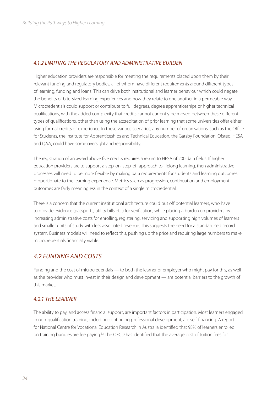#### *4.1.2 LIMITING THE REGULATORY AND ADMINISTRATIVE BURDEN*

Higher education providers are responsible for meeting the requirements placed upon them by their relevant funding and regulatory bodies, all of whom have different requirements around different types of learning, funding and loans. This can drive both institutional and learner behaviour which could negate the benefits of bite-sized learning experiences and how they relate to one another in a permeable way. Microcredentials could support or contribute to full degrees, degree apprenticeships or higher technical qualifications, with the added complexity that credits cannot currently be moved between these different types of qualifications, other than using the accreditation of prior learning that some universities offer either using formal credits or experience. In these various scenarios, any number of organisations, such as the Office for Students, the Institute for Apprenticeships and Technical Education, the Gatsby Foundation, Ofsted, HESA and QAA, could have some oversight and responsibility.

The registration of an award above five credits requires a return to HESA of 200 data fields. If higher education providers are to support a step-on, step-off approach to lifelong learning, then administrative processes will need to be more flexible by making data requirements for students and learning outcomes proportionate to the learning experience. Metrics such as progression, continuation and employment outcomes are fairly meaningless in the context of a single microcredential.

There is a concern that the current institutional architecture could put off potential learners, who have to provide evidence (passports, utility bills etc.) for verification, while placing a burden on providers by increasing administrative costs for enrolling, registering, servicing and supporting high volumes of learners and smaller units of study with less associated revenue. This suggests the need for a standardised record system. Business models will need to reflect this, pushing up the price and requiring large numbers to make microcredentials financially viable.

#### *4.2 FUNDING AND COSTS*

Funding and the cost of microcredentials — to both the learner or employer who might pay for this, as well as the provider who must invest in their design and development — are potential barriers to the growth of this market.

#### *4.2.1 THE LEARNER*

The ability to pay, and access financial support, are important factors in participation. Most learners engaged in non-qualification training, including continuing professional development, are self-financing. A report for National Centre for Vocational Education Research in Australia identified that 93% of learners enrolled on training bundles are fee paying.<sup>33</sup> The OECD has identified that the average cost of tuition fees for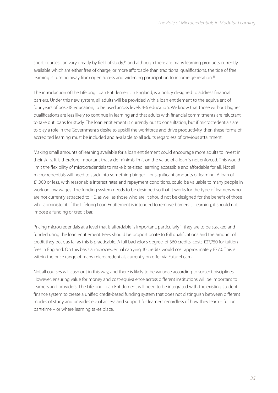short courses can vary greatly by field of study,<sup>34</sup> and although there are many learning products currently available which are either free of charge, or more affordable than traditional qualifications, the tide of free learning is turning away from open access and widening participation to income generation.<sup>35</sup>

The introduction of the Lifelong Loan Entitlement, in England, is a policy designed to address financial barriers. Under this new system, all adults will be provided with a loan entitlement to the equivalent of four years of post-18 education, to be used across levels 4-6 education. We know that those without higher qualifications are less likely to continue in learning and that adults with financial commitments are reluctant to take out loans for study. The loan entitlement is currently out to consultation, but if microcredentials are to play a role in the Government's desire to upskill the workforce and drive productivity, then these forms of accredited learning must be included and available to all adults regardless of previous attainment.

Making small amounts of learning available for a loan entitlement could encourage more adults to invest in their skills. It is therefore important that a de minimis limit on the value of a loan is not enforced. This would limit the flexibility of microcredentials to make bite-sized learning accessible and affordable for all. Not all microcredentials will need to stack into something bigger – or significant amounts of learning. A loan of £1,000 or less, with reasonable interest rates and repayment conditions, could be valuable to many people in work on low wages. The funding system needs to be designed so that it works for the type of learners who are not currently attracted to HE, as well as those who are. It should not be designed for the benefit of those who administer it. If the Lifelong Loan Entitlement is intended to remove barriers to learning, it should not impose a funding or credit bar.

Pricing microcredentials at a level that is affordable is important, particularly if they are to be stacked and funded using the loan entitlement. Fees should be proportionate to full qualifications and the amount of credit they bear, as far as this is practicable. A full bachelor's degree, of 360 credits, costs £27,750 for tuition fees in England. On this basis a microcredential carrying 10 credits would cost approximately £770. This is within the price range of many microcredentials currently on offer via FutureLearn.

Not all courses will cash out in this way, and there is likely to be variance according to subject disciplines. However, ensuring value for money and cost-equivalence across different institutions will be important to learners and providers. The Lifelong Loan Entitlement will need to be integrated with the existing student finance system to create a unified credit-based funding system that does not distinguish between different modes of study and provides equal access and support for learners regardless of how they learn – full or part-time – or where learning takes place.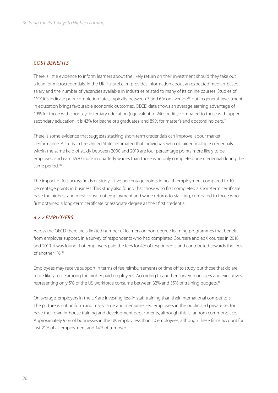#### *COST BENEFITS*

There is little evidence to inform learners about the likely return on their investment should they take out a loan for microcredentials. In the UK, FutureLearn provides information about an expected median-based salary and the number of vacancies available in industries related to many of its online courses. Studies of MOOCs indicate poor completion rates, typically between 3 and 6% on average<sup>36</sup> but in general, investment in education brings favourable economic outcomes. OECD data shows an average earning advantage of 19% for those with short-cycle tertiary education (equivalent to 240 credits) compared to those with upper secondary education. It is 43% for bachelor's graduates, and 89% for master's and doctoral holders.<sup>37</sup>

There is some evidence that suggests stacking short-term credentials can improve labour market performance. A study in the United States estimated that individuals who obtained multiple credentials within the same field of study between 2000 and 2019 are four percentage points more likely to be employed and earn \$570 more in quarterly wages than those who only completed one credential during the same period.<sup>38</sup>

The impact differs across fields of study – five percentage points in health employment compared to 10 percentage points in business. This study also found that those who first completed a short-term certificate have the highest and most consistent employment and wage returns to stacking, compared to those who first obtained a long-term certificate or associate degree as their first credential.

#### *4.2.2 EMPLOYERS*

Across the OECD there are a limited number of learners on non-degree learning programmes that benefit from employer support. In a survey of respondents who had completed Coursera and edX courses in 2018 and 2019, it was found that employers paid the fees for 4% of respondents and contributed towards the fees of another 1%.39

Employees may receive support in terms of fee reimbursements or time off to study but those that do are more likely to be among the higher paid employees. According to another survey, managers and executives representing only 5% of the US workforce consume between 32% and 35% of training budgets.40

On average, employers in the UK are investing less in staff training than their international competitors. The picture is not uniform and many large and medium-sized employers in the public and private sector have their own in-house training and development departments, although this is far from commonplace. Approximately 95% of businesses in the UK employ less than 10 employees, although these firms account for just 21% of all employment and 14% of turnover.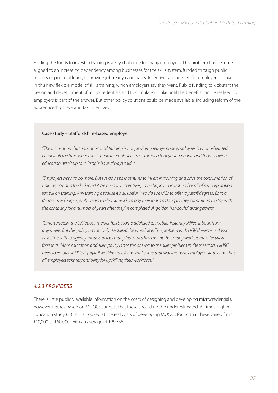Finding the funds to invest in training is a key challenge for many employers. This problem has become aligned to an increasing dependency among businesses for the skills system, funded through public monies or personal loans, to provide job-ready candidates. Incentives are needed for employers to invest in this new flexible model of skills training, which employers say they want. Public funding to kick-start the design and development of microcredentials and to stimulate uptake until the benefits can be realised by employers is part of the answer. But other policy solutions could be made available, including reform of the apprenticeships levy and tax incentives.

#### Case study – Staffordshire-based employer

*"The accusation that education and training is not providing ready-made employees is wrong-headed. I hear it all the time whenever I speak to employers. So is the idea that young people and those leaving education aren't up to it. People have always said it.* 

*"Employers need to do more. But we do need incentives to invest in training and drive the consumption of training. What is the kick-back? We need tax incentives; I'd be happy to invest half or all of my corporation*  tax bill on training. Any training because it's all useful. I would use MCs to offer my staff degrees. Earn a *degree over four, six, eight years while you work. I'd pay their loans as long as they committed to stay with the company for a number of years after they've completed. A 'golden handcuffs' arrangement.* 

*"Unfortunately, the UK labour market has become addicted to mobile, instantly skilled labour, from anywhere. But this policy has actively de-skilled the workforce. The problem with HGV drivers is a classic case. The shift to agency models across many industries has meant that many workers are effectively freelance. More education and skills policy is not the answer to the skills problem in these sectors. HMRC need to enforce IR35 (off-payroll working rules) and make sure that workers have employed status and that all employers take responsibility for upskilling their workforce."*

#### *4.2.3 PROVIDERS*

There is little publicly available information on the costs of designing and developing microcredentials, however, figures based on MOOCs suggest that these should not be underestimated. A Times Higher Education study (2015) that looked at the real costs of developing MOOCs found that these varied from £10,000 to £50,000, with an average of £29,356.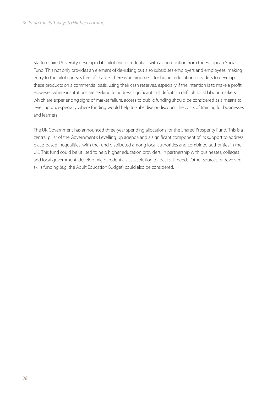Staffordshire University developed its pilot microcredentials with a contribution from the European Social Fund. This not only provides an element of de-risking but also subsidises employers and employees, making entry to the pilot courses free of charge. There is an argument for higher education providers to develop these products on a commercial basis, using their cash reserves, especially if the intention is to make a profit. However, where institutions are seeking to address significant skill deficits in difficult local labour markets which are experiencing signs of market failure, access to public funding should be considered as a means to levelling up, especially where funding would help to subsidise or discount the costs of training for businesses and learners.

The UK Government has announced three-year spending allocations for the Shared Prosperity Fund. This is a central pillar of the Government's Levelling Up agenda and a significant component of its support to address place-based inequalities, with the fund distributed among local authorities and combined authorities in the UK. This fund could be utilised to help higher education providers, in partnership with businesses, colleges and local government, develop microcredentials as a solution to local skill needs. Other sources of devolved skills funding (e.g. the Adult Education Budget) could also be considered.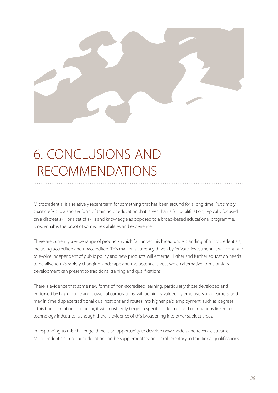

# 6. CONCLUSIONS AND RECOMMENDATIONS

Microcredential is a relatively recent term for something that has been around for a long time. Put simply *'micro'* refers to a shorter form of training or education that is less than a full qualification, typically focused on a discreet skill or a set of skills and knowledge as opposed to a broad-based educational programme. 'Credential' is the proof of someone's abilities and experience.

There are currently a wide range of products which fall under this broad understanding of microcredentials, including accredited and unaccredited. This market is currently driven by 'private' investment. It will continue to evolve independent of public policy and new products will emerge. Higher and further education needs to be alive to this rapidly changing landscape and the potential threat which alternative forms of skills development can present to traditional training and qualifications.

There is evidence that some new forms of non-accredited learning, particularly those developed and endorsed by high-profile and powerful corporations, will be highly valued by employers and learners, and may in time displace traditional qualifications and routes into higher paid employment, such as degrees. If this transformation is to occur, it will most likely begin in specific industries and occupations linked to technology industries, although there is evidence of this broadening into other subject areas.

In responding to this challenge, there is an opportunity to develop new models and revenue streams. Microcredentials in higher education can be supplementary or complementary to traditional qualifications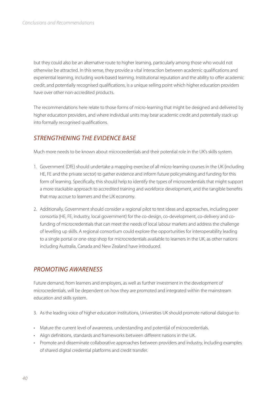but they could also be an alternative route to higher learning, particularly among those who would not otherwise be attracted. In this sense, they provide a vital interaction between academic qualifications and experiential learning, including work-based learning. Institutional reputation and the ability to offer academic credit, and potentially recognised qualifications, is a unique selling point which higher education providers have over other non-accredited products.

The recommendations here relate to those forms of micro-learning that might be designed and delivered by higher education providers, and where individual units may bear academic credit and potentially stack up into formally recognised qualifications.

#### *STRENGTHENING THE EVIDENCE BASE*

Much more needs to be known about microcredentials and their potential role in the UK's skills system.

- 1. Government (DfE) should undertake a mapping exercise of all micro-learning courses in the UK (including HE, FE and the private sector) to gather evidence and inform future policymaking and funding for this form of learning. Specifically, this should help to identify the types of microcredentials that might support a more stackable approach to accredited training and workforce development, and the tangible benefits that may accrue to learners and the UK economy.
- 2. Additionally, Government should consider a regional pilot to test ideas and approaches, including peer consortia (HE, FE, industry, local government) for the co-design, co-development, co-delivery and cofunding of microcredentials that can meet the needs of local labour markets and address the challenge of levelling up skills. A regional consortium could explore the opportunities for interoperability leading to a single portal or one-stop shop for microcredentials available to learners in the UK, as other nations including Australia, Canada and New Zealand have introduced.

#### *PROMOTING AWARENESS*

Future demand, from learners and employers, as well as further investment in the development of microcredentials, will be dependent on how they are promoted and integrated within the mainstream education and skills system.

- 3. As the leading voice of higher education institutions, Universities UK should promote national dialogue to:
- Mature the current level of awareness, understanding and potential of microcredentials.
- Align definitions, standards and frameworks between different nations in the UK.
- Promote and disseminate collaborative approaches between providers and industry, including examples of shared digital credential platforms and credit transfer.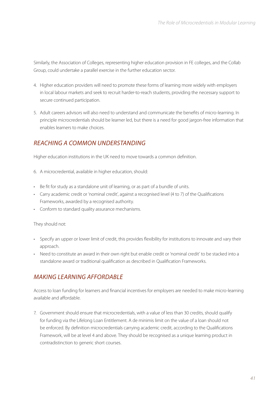Similarly, the Association of Colleges, representing higher education provision in FE colleges, and the Collab Group, could undertake a parallel exercise in the further education sector.

- 4. Higher education providers will need to promote these forms of learning more widely with employers in local labour markets and seek to recruit harder-to-reach students, providing the necessary support to secure continued participation.
- 5. Adult careers advisors will also need to understand and communicate the benefits of micro-learning. In principle microcredentials should be learner led, but there is a need for good jargon-free information that enables learners to make choices.

#### *REACHING A COMMON UNDERSTANDING*

Higher education institutions in the UK need to move towards a common definition.

- 6. A microcredential, available in higher education, should:
- Be fit for study as a standalone unit of learning, or as part of a bundle of units.
- Carry academic credit or 'nominal credit', against a recognised level (4 to 7) of the Qualifications Frameworks, awarded by a recognised authority.
- Conform to standard quality assurance mechanisms.

They should not:

- Specify an upper or lower limit of credit, this provides flexibility for institutions to innovate and vary their approach.
- Need to constitute an award in their own right but enable credit or 'nominal credit' to be stacked into a standalone award or traditional qualification as described in Qualification Frameworks.

#### *MAKING LEARNING AFFORDABLE*

Access to loan funding for learners and financial incentives for employers are needed to make micro-learning available and affordable.

7. Government should ensure that microcredentials, with a value of less than 30 credits, should qualify for funding via the Lifelong Loan Entitlement. A de minimis limit on the value of a loan should not be enforced. By definition microcredentials carrying academic credit, according to the Qualifications Framework, will be at level 4 and above. They should be recognised as a unique learning product in contradistinction to generic short courses.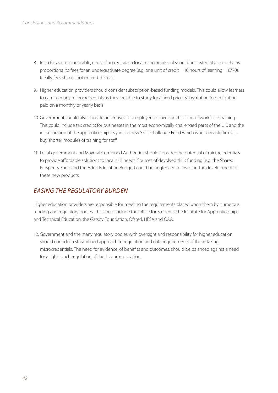- 8. In so far as it is practicable, units of accreditation for a microcredential should be costed at a price that is proportional to fees for an undergraduate degree (e.g. one unit of credit = 10 hours of learning = £770). Ideally fees should not exceed this cap.
- 9. Higher education providers should consider subscription-based funding models. This could allow learners to earn as many microcredentials as they are able to study for a fixed price. Subscription fees might be paid on a monthly or yearly basis.
- 10. Government should also consider incentives for employers to invest in this form of workforce training. This could include tax credits for businesses in the most economically challenged parts of the UK, and the incorporation of the apprenticeship levy into a new Skills Challenge Fund which would enable firms to buy shorter modules of training for staff.
- 11. Local government and Mayoral Combined Authorities should consider the potential of microcredentials to provide affordable solutions to local skill needs. Sources of devolved skills funding (e.g. the Shared Prosperity Fund and the Adult Education Budget) could be ringfenced to invest in the development of these new products.

#### *EASING THE REGULATORY BURDEN*

Higher education providers are responsible for meeting the requirements placed upon them by numerous funding and regulatory bodies. This could include the Office for Students, the Institute for Apprenticeships and Technical Education, the Gatsby Foundation, Ofsted, HESA and QAA.

12. Government and the many regulatory bodies with oversight and responsibility for higher education should consider a streamlined approach to regulation and data requirements of those taking microcredentials. The need for evidence, of benefits and outcomes, should be balanced against a need for a light touch regulation of short course provision.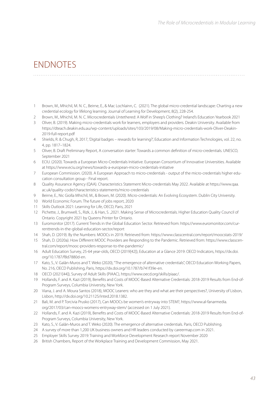### ENDNOTES

- 1 Brown, M., Mhichil, M. N. C., Beirne, E., & Mac Lochlainn, C. (2021). The global micro-credential landscape: Charting a new credential ecology for lifelong learning. Journal of Learning for Development, 8(2), 228-254.
- 2 Brown, M., Mhichil, M. N. C. Microcredentials Untethered: A Wolf in Sheep's Clothing? Ireland's Education Yearbook 2021
- 3 Oliver, B. (2019). Making micro-credentials work for learners, employers and providers. Deakin University. Available from https://dteach.deakin.edu.au/wp-content/uploads/sites/103/2019/08/Making-micro-credentials-work-Oliver-Deakin-2019-full-report.pdf
- 4 Shields, R. & Chugh, R, 2017, 'Digital badges rewards for learning?', Education and Information Technologies, vol. 22, no. 4, pp. 1817–1824.
- 5 Oliver, B. Draft Preliminary Report, A conversation starter: Towards a common definition of micro-credentials. UNESCO, September 2021
- 6 ECIU. (2020). Towards a European Micro-Credentials Initiative. European Consortium of Innovative Universities. Available at https://www.eciu.org/news/towards-a-european-micro-credentials-initiative
- 7 European Commission. (2020). A European Approach to micro-credentials output of the micro-credentials higher education consultation group - Final report.
- 8 Quality Assurance Agency (QAA). Characteristics Statement Micro-credentials May 2022. Available at https://www.qaa. ac.uk/quality-code/characteristics-statements/micro-credentials
- 9 Beirne, E., Nic Giolla Mhichíl, M., & Brown, M. (2020). Micro-credentials: An Evolving Ecosystem. Dublin City University.
- 10 World Economic Forum. The future of jobs report, 2020
- 11 Skills Outlook 2021: Learning for Life, OECD, Paris, 2021
- 12 Pichette, J., Brumwell, S., Rizk, J., & Han, S. ,2021. Making Sense of Microcredentials. Higher Education Quality Council of Ontario. Copyright 2021 by Queens Printer for Ontario.
- 13 Euromonitor (2017). Current Trends in the Global Education Sector. Retrieved from: https://www.euromonitor.com/currenttrends-in-the-global-education-sector/report
- 14 Shah, D. (2019). By the Numbers: MOOCs in 2019. Retrieved from: https://www.classcentral.com/report/moocstats-2019/
- 15 Shah, D. (2020a). How Different MOOC Providers are Responding to the Pandemic. Retrieved from: https://www.classcentral.com/report/mooc-providers-response-to-the-pandemic/
- 16 Adult Education Survey, 25-64 year-olds, OECD (2019[42]), Education at a Glance 2019: OECD Indicators, https://dx.doi. org/10.1787/f8d7880d-en.
- 17 Kato, S., V. Galán-Muros and T. Weko (2020), "The emergence of alternative credentials", OECD Education Working Papers, No. 216, OECD Publishing, Paris, https://dx.doi.org/10.1787/b741f39e-en.
- 18 OECD (2021[44]), Survey of Adult Skills (PIAAC), https://www.oecd.org/skills/piaac/.
- 19 Hollands, F. and A. Kazi (2019), Benefits and Costs of MOOC-Based Alternative Credentials: 2018-2019 Results from End-of-Program Surveys, Columbia University, New York.
- 20 Viana, J. and A. Moura Santos (2018), MOOC Leaners: who are they and what are their perspectives?, University of Lisbon, Lisbon, http://dx.doi.org/10.21125/inted.2018.1382.
- 21 Bali, M. and P. Torcivia Prusko (2017), Can MOOCs be women's entryway into STEM?, https://www.al-fanarmedia. org/2017/03/can-moocs-womens-entryway-stem/ (accessed on 1 July 2021).
- 22 Hollands, F. and A. Kazi (2019), Benefits and Costs of MOOC-Based Alternative Credentials: 2018-2019 Results from End-of-Program Surveys, Columbia University, New York.
- 23 Kato, S., V. Galán-Muros and T. Weko (2020). The emergence of alternative credentials. Paris, OECD Publishing.
- 24 A survey of more than 1,200 UK business owners and HR leaders conducted by careermap.com in 2021.
- 25 Employer Skills Survey 2019: Training and Workforce Development Research report November 2020
- 26 British Chambers, Report of the Workplace Training and Development Commission, May 2021.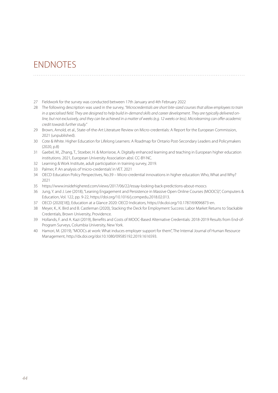### **ENDNOTES**

- 27 Fieldwork for the survey was conducted between 17th January and 4th February 2022
- 28 The following description was used in the survey, *"Microcredentials are short bite-sized courses that allow employees to train in a specialised field. They are designed to help build in-demand skills and career development. They are typically delivered online, but not exclusively, and they can be achieved in a matter of weeks (e.g. 12 weeks or less). Microlearning can offer academic credit towards further study."*

- 29 Brown, Arnold, et al., State-of-the-Art Literature Review on Micro-credentials: A Report for the European Commission, 2021 (unpublished).
- 30 Cote & White. Higher Education for Lifelong Learners: A Roadmap for Ontario Post-Secondary Leaders and Policymakers (2020, p.8)
- 31 Gaebel, M., Zhang, T., Stoeber, H. & Morrisroe, A. Digitally enhanced learning and teaching in European higher education institutions. 2021, European University Association absl. CC-BY-NC.
- 32 Learning & Work Institute, adult participation in training survey, 2019.
- 33 Palmer, P. An analysis of 'micro-credentials' in VET. 2021
- 34 OECD Education Policy Perspectives, No.39 Micro-credential innovations in higher education: Who, What and Why? 2021
- 35 https://www.insidehighered.com/views/2017/06/22/essay-looking-back-predictions-about-moocs
- 36 Jung, Y. and J. Lee (2018), "Leaning Engagement and Persistence in Massive Open Online Courses (MOOCS)", Computers & Education, Vol. 122, pp. 9-22, https://doi.org/10.1016/j.compedu.2018.02.013.
- 37 OECD (2020[18]), Education at a Glance 2020: OECD Indicators, https://dx.doi.org/10.1787/69096873-en.
- 38 Meyer, K., K. Bird and B. Castleman (2020), Stacking the Deck for Employment Success: Labor Market Returns to Stackable Credentials, Brown University, Providence.
- 39 Hollands, F. and A. Kazi (2019), Benefits and Costs of MOOC-Based Alternative Credentials: 2018-2019 Results from End-of-Program Surveys, Columbia University, New York.
- 40 Hamori, M. (2019), "MOOCs at work: What induces employer support for them", The Internal Journal of Human Resource Management, http://dx.doi.org/doi:10.1080/09585192.2019.1616593.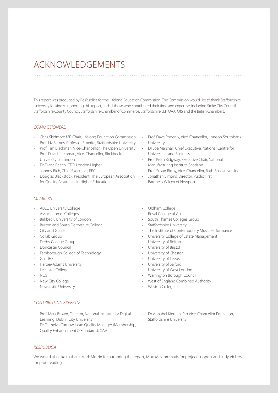### ACKNOWLEDGEMENTS

This report was produced by ResPublica for the Lifelong Education Commission. The Commission would like to thank Staffordshire University for kindly supporting this report, and all those who contributed their time and expertise, including Stoke City Council, Staffordshire County Council, Staffordshire Chamber of Commerce, Staffordshire LEP, QAA, OfS and the British Chambers.

#### *COMMISSIONERS:*

- Chris Skidmore MP, Chair, Lifelong Education Commission Prof. Dave Phoenix, Vice-Chancellor, London Southbank
- Prof. Liz Barnes, Professor Emerita, Staffordshire University
- Prof. Tim Blackman, Vice-Chancellor, The Open University Dr Joe Marshall, Chief Executive, National Centre for
- Prof. David Latchman, Vice-Chancellor, Birckbeck, University of London
- Dr Diana Beech, CEO, London Higher
- Johnny Rich, Chief Executive, EPC
- Douglas Blackstock, President, The European Association Jonathan Simons, Director, Public First for Quality Assurance in Higher Education
- University
- Universities and Business
- Prof. Keith Ridgway, Executive Chair, National Manufacturing Institute Scotland
- Prof. Susan Rigby, Vice-Chancellor, Bath-Spa University
	-

• Baroness Wilcox of Newport

#### *MEMBERS:*

- AECC University College
- Association of Colleges
- Birkbeck, University of London
- Burton and South Derbyshire College
- City and Guilds
- Collab Group
- Derby College Group
- Doncaster Council
- Farnborough College of Technology
- GuildHE
- Harper-Adams University
- Leicester College
- NCG
- New City College
- Newcastle University
- Oldham College
- Royal College of Art
- South Thames Colleges Group
- Staffordshire University
- The Institute of Contemporary Music Performance
- University College of Estate Management
- University of Bolton
- University of Bristol
- University of Chester
- University of Leeds
- University of Salford
- University of West London
- Warrington Borough Council
- West of England Combined Authority
- Weston College

#### *CONTRIBUTING EXPERTS:*

- Prof. Mark Brown, Director, National Institute for Digital Learning, Dublin City University
- Dr Demelza Curnow, Lead Quality Manager (Membership, Quality Enhancement & Standards), QAA
- Dr Annabel Kiernan, Pro Vice-Chancellor Education, Staffordshire University

#### *RESPUBLICA*

We would also like to thank Mark Morrin for authoring the report, Mike Mavrommatis for project support and Judy Vickers for proofreading.